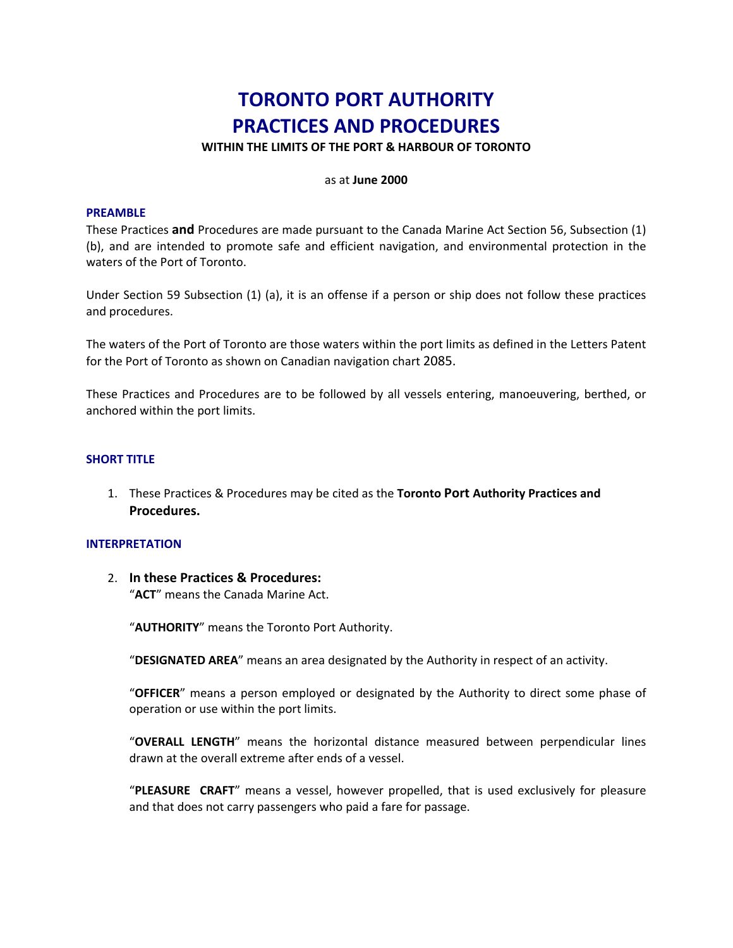# **TORONTO PORT AUTHORITY PRACTICES AND PROCEDURES**

**WITHIN THE LIMITS OF THE PORT & HARBOUR OF TORONTO**

#### as at **June 2000**

#### **PREAMBLE**

These Practices **and** Procedures are made pursuant to the Canada Marine Act Section 56, Subsection (1) (b), and are intended to promote safe and efficient navigation, and environmental protection in the waters of the Port of Toronto.

Under Section 59 Subsection (1) (a), it is an offense if a person or ship does not follow these practices and procedures.

The waters of the Port of Toronto are those waters within the port limits as defined in the Letters Patent for the Port of Toronto as shown on Canadian navigation chart 2085.

These Practices and Procedures are to be followed by all vessels entering, manoeuvering, berthed, or anchored within the port limits.

#### **SHORT TITLE**

1. These Practices & Procedures may be cited as the **Toronto Port Authority Practices and Procedures.**

#### **INTERPRETATION**

2. **In these Practices & Procedures:** 

"**ACT**" means the Canada Marine Act.

"**AUTHORITY**" means the Toronto Port Authority.

"**DESIGNATED AREA**" means an area designated by the Authority in respect of an activity.

"**OFFICER**" means a person employed or designated by the Authority to direct some phase of operation or use within the port limits.

"**OVERALL LENGTH**" means the horizontal distance measured between perpendicular lines drawn at the overall extreme after ends of a vessel.

"**PLEASURE CRAFT**" means a vessel, however propelled, that is used exclusively for pleasure and that does not carry passengers who paid a fare for passage.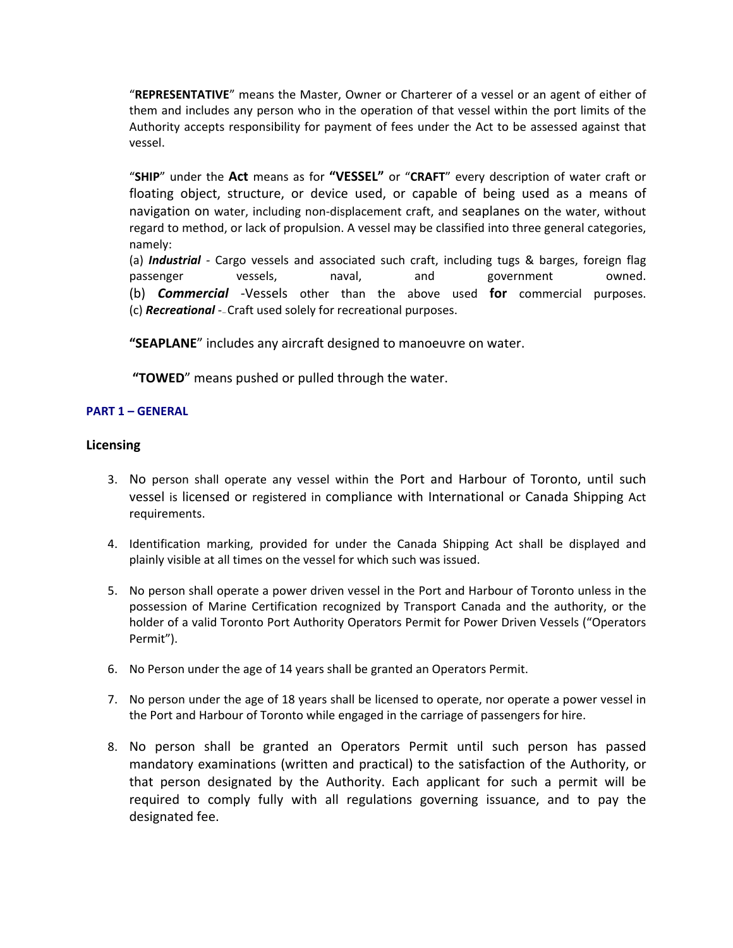"**REPRESENTATIVE**" means the Master, Owner or Charterer of a vessel or an agent of either of them and includes any person who in the operation of that vessel within the port limits of the Authority accepts responsibility for payment of fees under the Act to be assessed against that vessel.

"**SHIP**" under the **Act** means as for **"VESSEL"** or "**CRAFT**" every description of water craft or floating object, structure, or device used, or capable of being used as a means of navigation on water, including non‐displacement craft, and seaplanes on the water, without regard to method, or lack of propulsion. A vessel may be classified into three general categories, namely:

(a) *Industrial ‐*  Cargo vessels and associated such craft, including tugs & barges, foreign flag passenger vessels, naval, and government owned. (b) *Commercial ‐*Vessels other than the above used **for** commercial purposes. (c) *Recreational* ‐— Craft used solely for recreational purposes.

**"SEAPLANE**" includes any aircraft designed to manoeuvre on water.

**"TOWED**" means pushed or pulled through the water.

# **PART 1 – GENERAL**

## **Licensing**

- 3. No person shall operate any vessel within the Port and Harbour of Toronto, until such vessel is licensed or registered in compliance with International or Canada Shipping Act requirements.
- 4. Identification marking, provided for under the Canada Shipping Act shall be displayed and plainly visible at all times on the vessel for which such was issued.
- 5. No person shall operate a power driven vessel in the Port and Harbour of Toronto unless in the possession of Marine Certification recognized by Transport Canada and the authority, or the holder of a valid Toronto Port Authority Operators Permit for Power Driven Vessels ("Operators Permit").
- 6. No Person under the age of 14 years shall be granted an Operators Permit.
- 7. No person under the age of 18 years shall be licensed to operate, nor operate a power vessel in the Port and Harbour of Toronto while engaged in the carriage of passengers for hire.
- 8. No person shall be granted an Operators Permit until such person has passed mandatory examinations (written and practical) to the satisfaction of the Authority, or that person designated by the Authority. Each applicant for such a permit will be required to comply fully with all regulations governing issuance, and to pay the designated fee.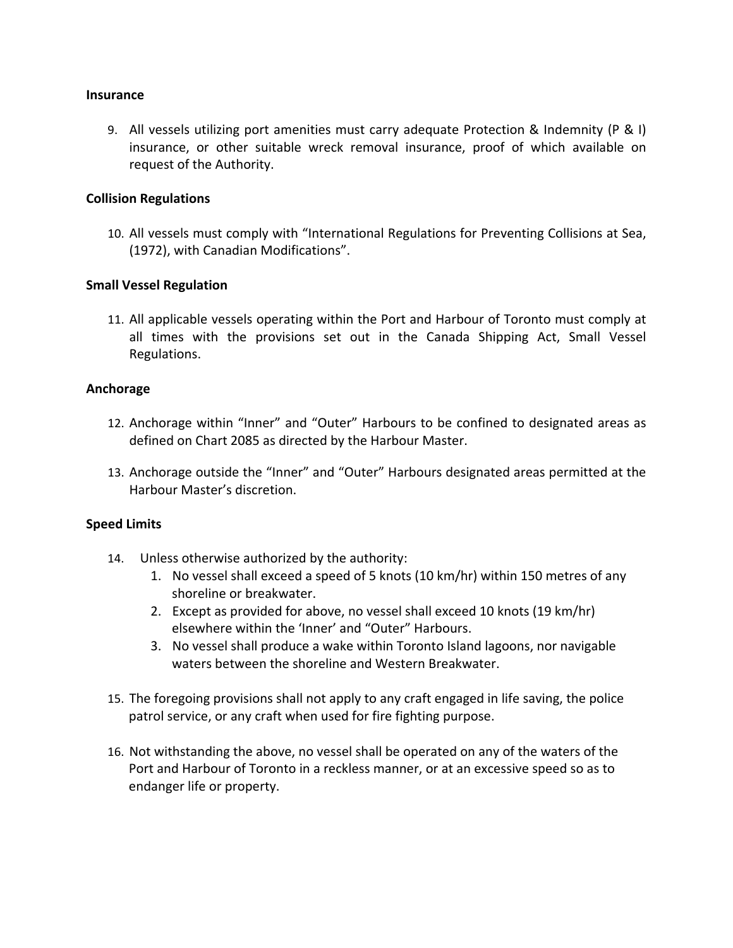## **Insurance**

9. All vessels utilizing port amenities must carry adequate Protection & Indemnity (P & I) insurance, or other suitable wreck removal insurance, proof of which available on request of the Authority.

# **Collision Regulations**

10. All vessels must comply with "International Regulations for Preventing Collisions at Sea, (1972), with Canadian Modifications".

# **Small Vessel Regulation**

11. All applicable vessels operating within the Port and Harbour of Toronto must comply at all times with the provisions set out in the Canada Shipping Act, Small Vessel Regulations.

# **Anchorage**

- 12. Anchorage within "Inner" and "Outer" Harbours to be confined to designated areas as defined on Chart 2085 as directed by the Harbour Master.
- 13. Anchorage outside the "Inner" and "Outer" Harbours designated areas permitted at the Harbour Master's discretion.

## **Speed Limits**

- 14. Unless otherwise authorized by the authority:
	- 1. No vessel shall exceed a speed of 5 knots (10 km/hr) within 150 metres of any shoreline or breakwater.
	- 2. Except as provided for above, no vessel shall exceed 10 knots (19 km/hr) elsewhere within the 'Inner' and "Outer" Harbours.
	- 3. No vessel shall produce a wake within Toronto Island lagoons, nor navigable waters between the shoreline and Western Breakwater.
- 15. The foregoing provisions shall not apply to any craft engaged in life saving, the police patrol service, or any craft when used for fire fighting purpose.
- 16. Not withstanding the above, no vessel shall be operated on any of the waters of the Port and Harbour of Toronto in a reckless manner, or at an excessive speed so as to endanger life or property.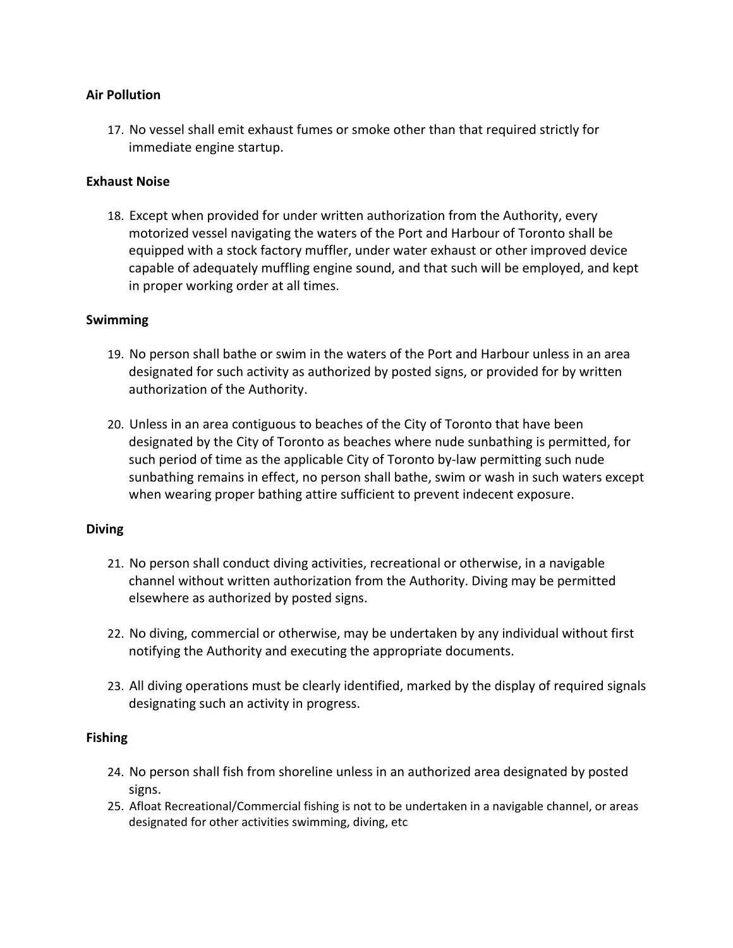# **Air Pollution**

17. No vessel shall emit exhaust fumes or smoke other than that required strictly for immediate engine startup.

# **Exhaust Noise**

18. Except when provided for under written authorization from the Authority, every motorized vessel navigating the waters of the Port and Harbour of Toronto shall be equipped with a stock factory muffler, under water exhaust or other improved device capable of adequately muffling engine sound, and that such will be employed, and kept in proper working order at all times.

# **Swimming**

- 19. No person shall bathe or swim in the waters of the Port and Harbour unless in an area designated for such activity as authorized by posted signs, or provided for by written authorization of the Authority.
- 20. Unless in an area contiguous to beaches of the City of Toronto that have been designated by the City of Toronto as beaches where nude sunbathing is permitted, for such period of time as the applicable City of Toronto by‐law permitting such nude sunbathing remains in effect, no person shall bathe, swim or wash in such waters except when wearing proper bathing attire sufficient to prevent indecent exposure.

# **Diving**

- 21. No person shall conduct diving activities, recreational or otherwise, in a navigable channel without written authorization from the Authority. Diving may be permitted elsewhere as authorized by posted signs.
- 22. No diving, commercial or otherwise, may be undertaken by any individual without first notifying the Authority and executing the appropriate documents.
- 23. All diving operations must be clearly identified, marked by the display of required signals designating such an activity in progress.

# **Fishing**

- 24. No person shall fish from shoreline unless in an authorized area designated by posted signs.
- 25. Afloat Recreational/Commercial fishing is not to be undertaken in a navigable channel, or areas designated for other activities swimming, diving, etc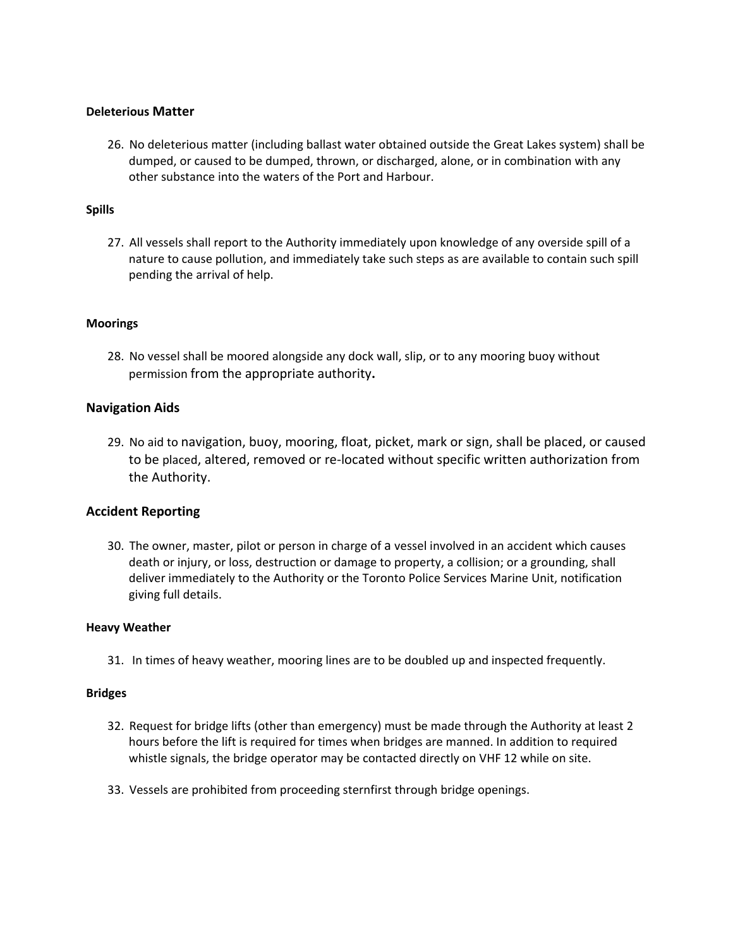## **Deleterious Matter**

26. No deleterious matter (including ballast water obtained outside the Great Lakes system) shall be dumped, or caused to be dumped, thrown, or discharged, alone, or in combination with any other substance into the waters of the Port and Harbour.

### **Spills**

27. All vessels shall report to the Authority immediately upon knowledge of any overside spill of a nature to cause pollution, and immediately take such steps as are available to contain such spill pending the arrival of help.

#### **Moorings**

28. No vessel shall be moored alongside any dock wall, slip, or to any mooring buoy without permission from the appropriate authority**.** 

## **Navigation Aids**

29. No aid to navigation, buoy, mooring, float, picket, mark or sign, shall be placed, or caused to be placed, altered, removed or re‐located without specific written authorization from the Authority.

## **Accident Reporting**

30. The owner, master, pilot or person in charge of a vessel involved in an accident which causes death or injury, or loss, destruction or damage to property, a collision; or a grounding, shall deliver immediately to the Authority or the Toronto Police Services Marine Unit, notification giving full details.

#### **Heavy Weather**

31. In times of heavy weather, mooring lines are to be doubled up and inspected frequently.

#### **Bridges**

- 32. Request for bridge lifts (other than emergency) must be made through the Authority at least 2 hours before the lift is required for times when bridges are manned. In addition to required whistle signals, the bridge operator may be contacted directly on VHF 12 while on site.
- 33. Vessels are prohibited from proceeding sternfirst through bridge openings.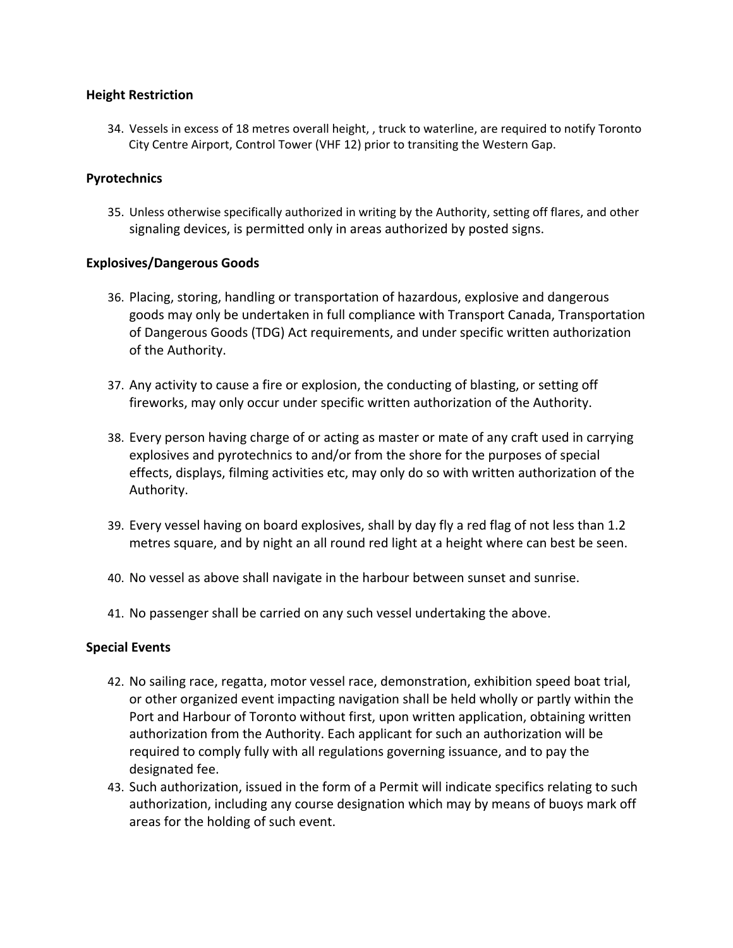# **Height Restriction**

34. Vessels in excess of 18 metres overall height, , truck to waterline, are required to notify Toronto City Centre Airport, Control Tower (VHF 12) prior to transiting the Western Gap.

# **Pyrotechnics**

35. Unless otherwise specifically authorized in writing by the Authority, setting off flares, and other signaling devices, is permitted only in areas authorized by posted signs.

# **Explosives/Dangerous Goods**

- 36. Placing, storing, handling or transportation of hazardous, explosive and dangerous goods may only be undertaken in full compliance with Transport Canada, Transportation of Dangerous Goods (TDG) Act requirements, and under specific written authorization of the Authority.
- 37. Any activity to cause a fire or explosion, the conducting of blasting, or setting off fireworks, may only occur under specific written authorization of the Authority.
- 38. Every person having charge of or acting as master or mate of any craft used in carrying explosives and pyrotechnics to and/or from the shore for the purposes of special effects, displays, filming activities etc, may only do so with written authorization of the Authority.
- 39. Every vessel having on board explosives, shall by day fly a red flag of not less than 1.2 metres square, and by night an all round red light at a height where can best be seen.
- 40. No vessel as above shall navigate in the harbour between sunset and sunrise.
- 41. No passenger shall be carried on any such vessel undertaking the above.

# **Special Events**

- 42. No sailing race, regatta, motor vessel race, demonstration, exhibition speed boat trial, or other organized event impacting navigation shall be held wholly or partly within the Port and Harbour of Toronto without first, upon written application, obtaining written authorization from the Authority. Each applicant for such an authorization will be required to comply fully with all regulations governing issuance, and to pay the designated fee.
- 43. Such authorization, issued in the form of a Permit will indicate specifics relating to such authorization, including any course designation which may by means of buoys mark off areas for the holding of such event.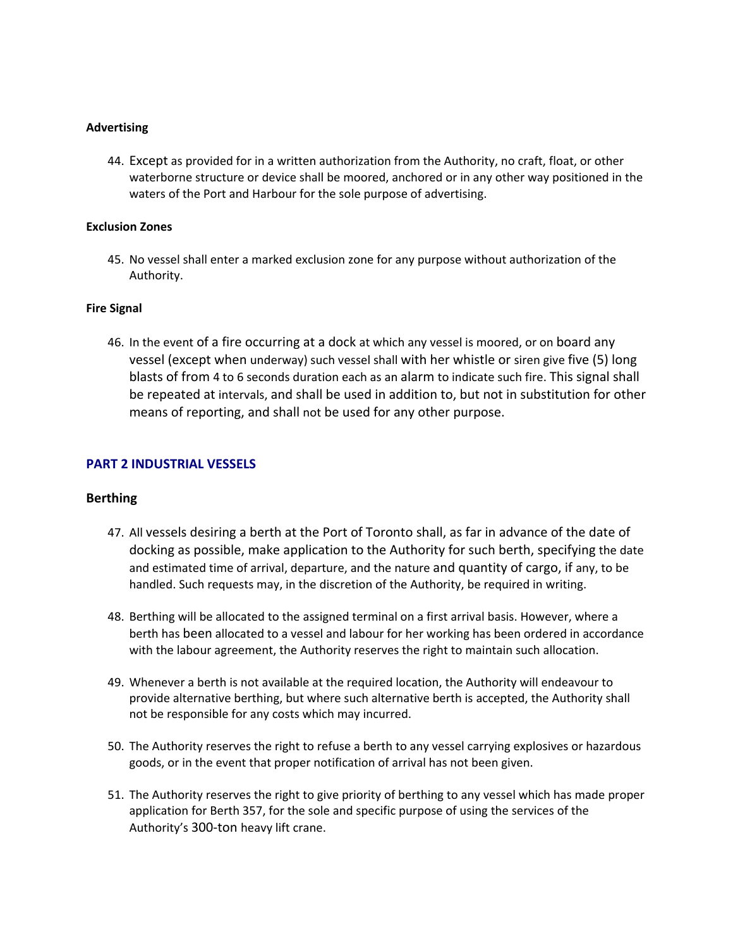### **Advertising**

44. Except as provided for in a written authorization from the Authority, no craft, float, or other waterborne structure or device shall be moored, anchored or in any other way positioned in the waters of the Port and Harbour for the sole purpose of advertising.

### **Exclusion Zones**

45. No vessel shall enter a marked exclusion zone for any purpose without authorization of the Authority.

### **Fire Signal**

46. In the event of a fire occurring at a dock at which any vessel is moored, or on board any vessel (except when underway) such vessel shall with her whistle or siren give five (5) long blasts of from 4 to 6 seconds duration each as an alarm to indicate such fire. This signal shall be repeated at intervals, and shall be used in addition to, but not in substitution for other means of reporting, and shall not be used for any other purpose.

## **PART 2 INDUSTRIAL VESSELS**

#### **Berthing**

- 47. All vessels desiring a berth at the Port of Toronto shall, as far in advance of the date of docking as possible, make application to the Authority for such berth, specifying the date and estimated time of arrival, departure, and the nature and quantity of cargo, if any, to be handled. Such requests may, in the discretion of the Authority, be required in writing.
- 48. Berthing will be allocated to the assigned terminal on a first arrival basis. However, where a berth has been allocated to a vessel and labour for her working has been ordered in accordance with the labour agreement, the Authority reserves the right to maintain such allocation.
- 49. Whenever a berth is not available at the required location, the Authority will endeavour to provide alternative berthing, but where such alternative berth is accepted, the Authority shall not be responsible for any costs which may incurred.
- 50. The Authority reserves the right to refuse a berth to any vessel carrying explosives or hazardous goods, or in the event that proper notification of arrival has not been given.
- 51. The Authority reserves the right to give priority of berthing to any vessel which has made proper application for Berth 357, for the sole and specific purpose of using the services of the Authority's 300‐ton heavy lift crane.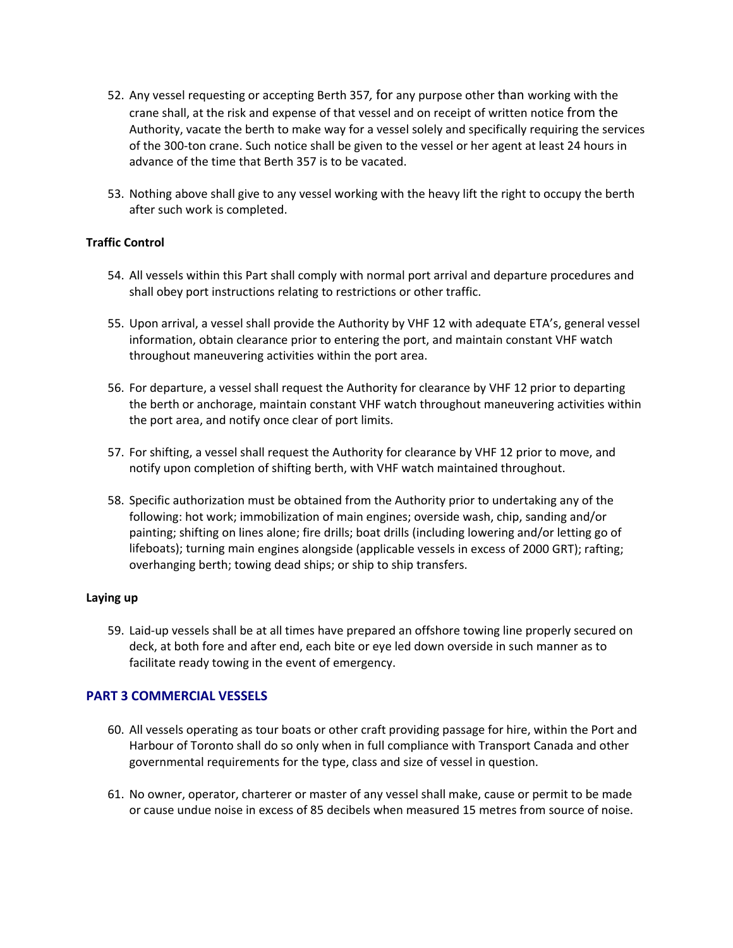- 52. Any vessel requesting or accepting Berth 357*,* for any purpose other than working with the crane shall, at the risk and expense of that vessel and on receipt of written notice from the Authority, vacate the berth to make way for a vessel solely and specifically requiring the services of the 300‐ton crane. Such notice shall be given to the vessel or her agent at least 24 hours in advance of the time that Berth 357 is to be vacated.
- 53. Nothing above shall give to any vessel working with the heavy lift the right to occupy the berth after such work is completed.

## **Traffic Control**

- 54. All vessels within this Part shall comply with normal port arrival and departure procedures and shall obey port instructions relating to restrictions or other traffic.
- 55. Upon arrival, a vessel shall provide the Authority by VHF 12 with adequate ETA's, general vessel information, obtain clearance prior to entering the port, and maintain constant VHF watch throughout maneuvering activities within the port area.
- 56. For departure, a vessel shall request the Authority for clearance by VHF 12 prior to departing the berth or anchorage, maintain constant VHF watch throughout maneuvering activities within the port area, and notify once clear of port limits.
- 57. For shifting, a vessel shall request the Authority for clearance by VHF 12 prior to move, and notify upon completion of shifting berth, with VHF watch maintained throughout.
- 58. Specific authorization must be obtained from the Authority prior to undertaking any of the following: hot work; immobilization of main engines; overside wash, chip, sanding and/or painting; shifting on lines alone; fire drills; boat drills (including lowering and/or letting go of lifeboats); turning main engines alongside (applicable vessels in excess of 2000 GRT); rafting; overhanging berth; towing dead ships; or ship to ship transfers.

#### **Laying up**

59. Laid‐up vessels shall be at all times have prepared an offshore towing line properly secured on deck, at both fore and after end, each bite or eye led down overside in such manner as to facilitate ready towing in the event of emergency.

## **PART 3 COMMERCIAL VESSELS**

- 60. All vessels operating as tour boats or other craft providing passage for hire, within the Port and Harbour of Toronto shall do so only when in full compliance with Transport Canada and other governmental requirements for the type, class and size of vessel in question.
- 61. No owner, operator, charterer or master of any vessel shall make, cause or permit to be made or cause undue noise in excess of 85 decibels when measured 15 metres from source of noise.